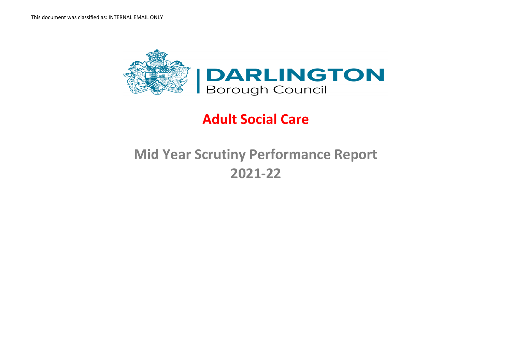

# **Adult Social Care**

# **Mid Year Scrutiny Performance Report 2021-22**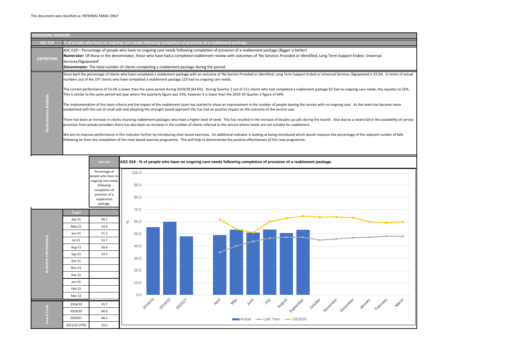

| <b>MANAGING DEMAND</b>     |                                                                                                                                                                                                                                                                                                                                                                                                                                                                                                                                                                                                                                                                                                                                                                                                                                                                                                                                                                                                                                                                                                                                                                                                                                                                                                                                                                                                                                                                                                                                                                                                                                                                                     |
|----------------------------|-------------------------------------------------------------------------------------------------------------------------------------------------------------------------------------------------------------------------------------------------------------------------------------------------------------------------------------------------------------------------------------------------------------------------------------------------------------------------------------------------------------------------------------------------------------------------------------------------------------------------------------------------------------------------------------------------------------------------------------------------------------------------------------------------------------------------------------------------------------------------------------------------------------------------------------------------------------------------------------------------------------------------------------------------------------------------------------------------------------------------------------------------------------------------------------------------------------------------------------------------------------------------------------------------------------------------------------------------------------------------------------------------------------------------------------------------------------------------------------------------------------------------------------------------------------------------------------------------------------------------------------------------------------------------------------|
| <b>ASC 019</b>             | % of people who have no ongoing care needs following completion of provision of a reablement package.                                                                                                                                                                                                                                                                                                                                                                                                                                                                                                                                                                                                                                                                                                                                                                                                                                                                                                                                                                                                                                                                                                                                                                                                                                                                                                                                                                                                                                                                                                                                                                               |
| <b>DEFINITION</b>          | ASC 019 – Percentage of people who have no ongoing care needs following completion of provision of a reablement package (Bigger is better)<br>Numerator: Of those in the denominator, those who have had a completed reablement review with outcomes of 'No Services Provided or Identified, Long Term Supp<br>Services/Signposted'<br>Denominator: The total number of clients completing a reablement package during the period                                                                                                                                                                                                                                                                                                                                                                                                                                                                                                                                                                                                                                                                                                                                                                                                                                                                                                                                                                                                                                                                                                                                                                                                                                                   |
| <b>alysis</b><br>$\bullet$ | Since April the percentage of clients who have completed a reablement package with an outcome of 'No Service Provided or Identified, Long Term Support Ended or Universal Service<br>numbers out of the 197 clients who have completed a reablement package 123 had no ongoing care needs.<br>The current performance of 53.5% is lower than the same period during 2019/20 (64.6%). During Quarter 2 out of 111 clients who had completed a reablement package 62 had no c<br>This is similar to the same period last year where the quarterly figure was 53%, however it is lower than the 2019-20 Quarter 2 figure of 64%.<br>The implementation of the team criteria and the impact of the reablement team has started to show an improvement in the number of people leaving the service with no ongoing ca<br>established with the use of small aids and adopting the strength based approach this has had an positive impact on the outcome of the service user.<br>There has been an increase in clients receiving reablement packages who have a higher level of need. This has resulted in the increase of double up calls during the month. Also due<br>provision from private providers there has also been an increase in the number of clients referred to the service whose needs are not suitable for reablement.<br>We aim to improve performance in this indicator further by introducing chair based exercises. An additional indicator is looking at being introduced which would measure the percer<br>following on from the completion of the chair based exercise programme. This will help to demonstrate the positive effectiveness of this new programme. |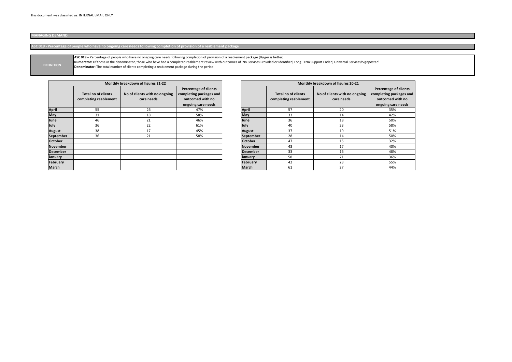| Monthly breakdown of figures 20-21 |                                                     |                                             |                                                                                                   |  |  |  |  |  |
|------------------------------------|-----------------------------------------------------|---------------------------------------------|---------------------------------------------------------------------------------------------------|--|--|--|--|--|
|                                    | <b>Total no of clients</b><br>completing reablement | No of clients with no ongoing<br>care needs | <b>Percentage of clients</b><br>completing packages and<br>outcomed with no<br>ongoing care needs |  |  |  |  |  |
| <b>April</b>                       | 57                                                  | 20                                          | 35%                                                                                               |  |  |  |  |  |
| <b>May</b>                         | 33                                                  | 14                                          | 42%                                                                                               |  |  |  |  |  |
| June                               | 36                                                  | 18                                          | 50%                                                                                               |  |  |  |  |  |
| July                               | 40                                                  | 23                                          | 58%                                                                                               |  |  |  |  |  |
| <b>August</b>                      | 37                                                  | 19                                          | 51%                                                                                               |  |  |  |  |  |
| <b>September</b>                   | 28                                                  | 14                                          | 50%                                                                                               |  |  |  |  |  |
| <b>October</b>                     | 47                                                  | 15                                          | 32%                                                                                               |  |  |  |  |  |
| November                           | 43                                                  | 17                                          | 40%                                                                                               |  |  |  |  |  |
| <b>December</b>                    | 33                                                  | 16                                          | 48%                                                                                               |  |  |  |  |  |
| <b>January</b>                     | 58                                                  | 21                                          | 36%                                                                                               |  |  |  |  |  |
| February                           | 42                                                  | 23                                          | 55%                                                                                               |  |  |  |  |  |
| <b>March</b>                       | 61                                                  | 27                                          | 44%                                                                                               |  |  |  |  |  |

ed, Universal Services/Signposted'

|                  |                                                     | Monthly breakdown of figures 21-22          |                                                                                                   |                 |                                                     | Monthly breakdown of figures 20-21          |                                                                 |
|------------------|-----------------------------------------------------|---------------------------------------------|---------------------------------------------------------------------------------------------------|-----------------|-----------------------------------------------------|---------------------------------------------|-----------------------------------------------------------------|
|                  | <b>Total no of clients</b><br>completing reablement | No of clients with no ongoing<br>care needs | <b>Percentage of clients</b><br>completing packages and<br>outcomed with no<br>ongoing care needs |                 | <b>Total no of clients</b><br>completing reablement | No of clients with no ongoing<br>care needs | Percentage o<br><b>completing pa</b><br>outcomed<br>ongoing car |
| <b>April</b>     | 55                                                  | 26                                          | 47%                                                                                               | <b>April</b>    | 57                                                  | 20                                          | 35%                                                             |
| <b>May</b>       | 31                                                  | 18                                          | 58%                                                                                               | <b>May</b>      | 33                                                  | 14                                          | 42%                                                             |
| June             | 46                                                  | 21                                          | 46%                                                                                               | June            | 36                                                  | 18                                          | 50%                                                             |
| July             | 36                                                  | 22                                          | 61%                                                                                               | July            | 40                                                  | 23                                          | 58%                                                             |
| <b>August</b>    | 38                                                  | 17                                          | 45%                                                                                               | <b>August</b>   | 37                                                  | 19                                          | 51%                                                             |
| <b>September</b> | 36                                                  | 21                                          | 58%                                                                                               | September       | 28                                                  | 14                                          | 50%                                                             |
| <b>October</b>   |                                                     |                                             |                                                                                                   | <b>October</b>  | 47                                                  | 15                                          | 32%                                                             |
| November         |                                                     |                                             |                                                                                                   | <b>November</b> | 43                                                  | 17                                          | 40%                                                             |
| <b>December</b>  |                                                     |                                             |                                                                                                   | December        | 33                                                  | 16                                          | 48%                                                             |
| <b>January</b>   |                                                     |                                             |                                                                                                   | <b>January</b>  | 58                                                  | 21                                          | 36%                                                             |
| February         |                                                     |                                             |                                                                                                   | February        | 42                                                  | 23                                          | 55%                                                             |
| <b>March</b>     |                                                     |                                             |                                                                                                   | <b>March</b>    | 61                                                  | 27                                          | 44%                                                             |

# **MANAGING DEMAND**

**ASC 019 - Percentage of people who have no ongoing care needs following completion of provision of a reablement package**

| <b>IDEFINITION</b> | ASC 019 - Percentage of people who have no ongoing care needs following completion of provision of a reablement package (Bigger is better)                            |
|--------------------|-----------------------------------------------------------------------------------------------------------------------------------------------------------------------|
|                    | Numerator: Of those in the denominator, those who have had a completed reablement review with outcomes of 'No Services Provided or Identified, Long Term Support Ende |
|                    | <b>Denominator:</b> The total number of clients completing a reablement package during the period                                                                     |
|                    |                                                                                                                                                                       |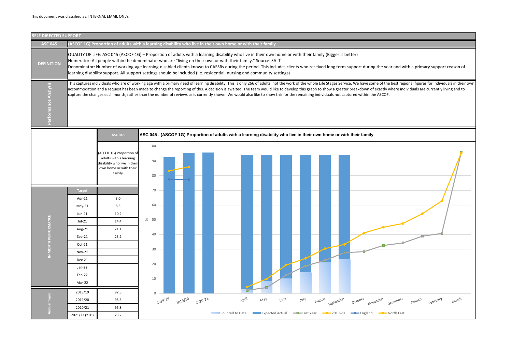| <b>SELF DIRECTED SUPPORT</b> |                                                                                                                                                                                                                                                                                                                                                                                                                                                                                                                                                                                                                                                          |                                                                                                                        |                 |         |         |         |  |       |     |      |             |                                                                                                                      |                                                                                       |
|------------------------------|----------------------------------------------------------------------------------------------------------------------------------------------------------------------------------------------------------------------------------------------------------------------------------------------------------------------------------------------------------------------------------------------------------------------------------------------------------------------------------------------------------------------------------------------------------------------------------------------------------------------------------------------------------|------------------------------------------------------------------------------------------------------------------------|-----------------|---------|---------|---------|--|-------|-----|------|-------------|----------------------------------------------------------------------------------------------------------------------|---------------------------------------------------------------------------------------|
| <b>ASC 045</b>               |                                                                                                                                                                                                                                                                                                                                                                                                                                                                                                                                                                                                                                                          | (ASCOF 1G) Proportion of adults with a learning disability who live in their own home or with their family             |                 |         |         |         |  |       |     |      |             |                                                                                                                      |                                                                                       |
| <b>DEFINITION</b>            | QUALITY OF LIFE: ASC 045 (ASCOF 1G) - Proportion of adults with a learning disability who live in their own home or with their family (Bigger is better)<br>Numerator: All people within the denominator who are "living on their own or with their family." Source: SALT<br>Denominator: Number of working-age learning-disabled clients known to CASSRs during the period. This includes clients who received long term support during the year and with a primary support reason of<br>learning disability support. All support settings should be included (i.e. residential, nursing and community settings)                                        |                                                                                                                        |                 |         |         |         |  |       |     |      |             |                                                                                                                      |                                                                                       |
|                              | This captures individuals who are of working age with a primary need of learning disability. This is only 266 of adults, not the work of the whole Life Stages Service. We have some of the best regional figures for individu<br>accommodation and a request has been made to change the reporting of this. A decision is awaited. The team would like to develop this graph to show a greater breakdown of exactly where individuals are currently living and<br>capture the changes each month, rather than the number of reviews as is currently shown. We would also like to show this for the remaining individuals not captured within the ASCOF. |                                                                                                                        |                 |         |         |         |  |       |     |      |             |                                                                                                                      |                                                                                       |
|                              |                                                                                                                                                                                                                                                                                                                                                                                                                                                                                                                                                                                                                                                          | <b>ASC 045</b>                                                                                                         |                 |         |         |         |  |       |     |      |             | ASC 045 - (ASCOF 1G) Proportion of adults with a learning disability who live in their own home or with their family |                                                                                       |
|                              |                                                                                                                                                                                                                                                                                                                                                                                                                                                                                                                                                                                                                                                          | (ASCOF 1G) Proportion of<br>adults with a learning<br>disability who live in their<br>own home or with their<br>family | 100<br>90<br>80 |         |         |         |  |       |     |      |             |                                                                                                                      |                                                                                       |
|                              | <b>Target</b>                                                                                                                                                                                                                                                                                                                                                                                                                                                                                                                                                                                                                                            |                                                                                                                        | 70              |         |         |         |  |       |     |      |             |                                                                                                                      |                                                                                       |
|                              | Apr-21                                                                                                                                                                                                                                                                                                                                                                                                                                                                                                                                                                                                                                                   | 3.0                                                                                                                    |                 |         |         |         |  |       |     |      |             |                                                                                                                      |                                                                                       |
|                              | $May-21$                                                                                                                                                                                                                                                                                                                                                                                                                                                                                                                                                                                                                                                 | 8.3                                                                                                                    | 60              |         |         |         |  |       |     |      |             |                                                                                                                      |                                                                                       |
|                              | $Jun-21$                                                                                                                                                                                                                                                                                                                                                                                                                                                                                                                                                                                                                                                 | 10.2                                                                                                                   |                 |         |         |         |  |       |     |      |             |                                                                                                                      |                                                                                       |
|                              | Jul-21                                                                                                                                                                                                                                                                                                                                                                                                                                                                                                                                                                                                                                                   | 14.4                                                                                                                   | $\&$ 50         |         |         |         |  |       |     |      |             |                                                                                                                      |                                                                                       |
| IN MONTH PERFORN             | Aug-21                                                                                                                                                                                                                                                                                                                                                                                                                                                                                                                                                                                                                                                   | 21.1                                                                                                                   | 40              |         |         |         |  |       |     |      |             |                                                                                                                      |                                                                                       |
|                              | Sep-21                                                                                                                                                                                                                                                                                                                                                                                                                                                                                                                                                                                                                                                   | 23.2                                                                                                                   |                 |         |         |         |  |       |     |      |             |                                                                                                                      |                                                                                       |
|                              | Oct-21                                                                                                                                                                                                                                                                                                                                                                                                                                                                                                                                                                                                                                                   |                                                                                                                        | 30              |         |         |         |  |       |     |      |             |                                                                                                                      |                                                                                       |
|                              | Nov-21                                                                                                                                                                                                                                                                                                                                                                                                                                                                                                                                                                                                                                                   |                                                                                                                        |                 |         |         |         |  |       |     |      |             |                                                                                                                      |                                                                                       |
|                              | Dec-21<br>Jan-22                                                                                                                                                                                                                                                                                                                                                                                                                                                                                                                                                                                                                                         |                                                                                                                        | 20              |         |         |         |  |       |     |      |             |                                                                                                                      |                                                                                       |
|                              | Feb-22                                                                                                                                                                                                                                                                                                                                                                                                                                                                                                                                                                                                                                                   |                                                                                                                        |                 |         |         |         |  |       |     |      |             |                                                                                                                      |                                                                                       |
|                              | Mar-22                                                                                                                                                                                                                                                                                                                                                                                                                                                                                                                                                                                                                                                   |                                                                                                                        | 10              |         |         |         |  |       |     |      |             |                                                                                                                      |                                                                                       |
|                              | 2018/19                                                                                                                                                                                                                                                                                                                                                                                                                                                                                                                                                                                                                                                  | 92.5                                                                                                                   | $\overline{0}$  |         |         |         |  |       |     |      |             |                                                                                                                      |                                                                                       |
|                              | 2019/20                                                                                                                                                                                                                                                                                                                                                                                                                                                                                                                                                                                                                                                  | 95.5                                                                                                                   |                 | 2018/19 | 2019/20 | 2020/21 |  | April | May | June | <b>YulY</b> | August<br>September                                                                                                  | March<br>October<br>November<br>January<br>February<br>December                       |
|                              | 2020/21                                                                                                                                                                                                                                                                                                                                                                                                                                                                                                                                                                                                                                                  | 95.8                                                                                                                   |                 |         |         |         |  |       |     |      |             |                                                                                                                      |                                                                                       |
|                              | 2021/22 (YTD)                                                                                                                                                                                                                                                                                                                                                                                                                                                                                                                                                                                                                                            | 23.2                                                                                                                   |                 |         |         |         |  |       |     |      |             |                                                                                                                      | Counted to Date <b>Expected Actual - E</b> last Year - 2019-20 - Figland - North East |

| ar and with a primary support reason of                                                                                                                                                                                              |
|--------------------------------------------------------------------------------------------------------------------------------------------------------------------------------------------------------------------------------------|
|                                                                                                                                                                                                                                      |
| e best regional figures for individuals in their own<br>where individuals are currently living and to                                                                                                                                |
| $\vdots$                                                                                                                                                                                                                             |
|                                                                                                                                                                                                                                      |
|                                                                                                                                                                                                                                      |
|                                                                                                                                                                                                                                      |
|                                                                                                                                                                                                                                      |
|                                                                                                                                                                                                                                      |
|                                                                                                                                                                                                                                      |
|                                                                                                                                                                                                                                      |
|                                                                                                                                                                                                                                      |
|                                                                                                                                                                                                                                      |
|                                                                                                                                                                                                                                      |
|                                                                                                                                                                                                                                      |
|                                                                                                                                                                                                                                      |
|                                                                                                                                                                                                                                      |
|                                                                                                                                                                                                                                      |
|                                                                                                                                                                                                                                      |
|                                                                                                                                                                                                                                      |
| <b>Contract Contract Contract Contract Contract Contract Contract Contract Contract Contract Contract Contract Contract Contract Contract Contract Contract Contract Contract Contract Contract Contract Contract Contract Contr</b> |
|                                                                                                                                                                                                                                      |
|                                                                                                                                                                                                                                      |
|                                                                                                                                                                                                                                      |
|                                                                                                                                                                                                                                      |
|                                                                                                                                                                                                                                      |
|                                                                                                                                                                                                                                      |
| March<br>December<br>January<br>February                                                                                                                                                                                             |
|                                                                                                                                                                                                                                      |
| North East                                                                                                                                                                                                                           |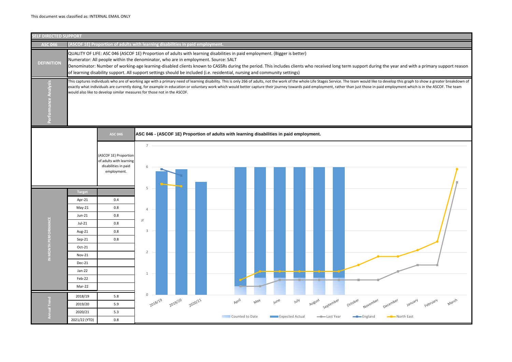| <b>SELF DIRECTED SUPPORT</b> |                                                                                                                                                                                                                                                                                                                                                                                                                                                                                                                    |                                                                                         |                          |         |         |                                                                                          |     |      |                        |            |                              |
|------------------------------|--------------------------------------------------------------------------------------------------------------------------------------------------------------------------------------------------------------------------------------------------------------------------------------------------------------------------------------------------------------------------------------------------------------------------------------------------------------------------------------------------------------------|-----------------------------------------------------------------------------------------|--------------------------|---------|---------|------------------------------------------------------------------------------------------|-----|------|------------------------|------------|------------------------------|
| <b>ASC 046</b>               |                                                                                                                                                                                                                                                                                                                                                                                                                                                                                                                    | (ASCOF 1E) Proportion of adults with learning disabilities in paid employment.          |                          |         |         |                                                                                          |     |      |                        |            |                              |
| <b>DEFINITION</b>            | QUALITY OF LIFE: ASC 046 (ASCOF 1E) Proportion of adults with learning disabilities in paid employment. (Bigger is better)<br>Numerator: All people within the denominator, who are in employment. Source: SALT<br>Denominator: Number of working-age learning-disabled clients known to CASSRs during the period. This includes clients who received long term support during the y<br>of learning disability support. All support settings should be included (i.e. residential, nursing and community settings) |                                                                                         |                          |         |         |                                                                                          |     |      |                        |            |                              |
| Performance Analysis         | This captures individuals who are of working age with a primary need of learning disability. This is only 266 of adults, not the work of the whole Life Stages Service. The team would like to devel<br>exactly what individuals are currently doing, for example in education or voluntary work which would better capture their journey towards paid employment, rather than just those in paid emp<br>would also like to develop similar measures for those not in the ASCOF.                                   |                                                                                         |                          |         |         |                                                                                          |     |      |                        |            |                              |
|                              |                                                                                                                                                                                                                                                                                                                                                                                                                                                                                                                    | <b>ASC 046</b>                                                                          |                          |         |         | ASC 046 - (ASCOF 1E) Proportion of adults with learning disabilities in paid employment. |     |      |                        |            |                              |
|                              |                                                                                                                                                                                                                                                                                                                                                                                                                                                                                                                    | (ASCOF 1E) Proportion<br>of adults with learning<br>disabilities in paid<br>employment. | $\overline{7}$<br>6      |         |         |                                                                                          |     |      |                        |            |                              |
|                              | <b>Target</b>                                                                                                                                                                                                                                                                                                                                                                                                                                                                                                      |                                                                                         | 5                        |         |         |                                                                                          |     |      |                        |            |                              |
|                              | Apr-21                                                                                                                                                                                                                                                                                                                                                                                                                                                                                                             | 0.4                                                                                     |                          |         |         |                                                                                          |     |      |                        |            |                              |
|                              | $May-21$                                                                                                                                                                                                                                                                                                                                                                                                                                                                                                           | 0.8                                                                                     |                          |         |         |                                                                                          |     |      |                        |            |                              |
|                              | Jun-21                                                                                                                                                                                                                                                                                                                                                                                                                                                                                                             | 0.8                                                                                     |                          |         |         |                                                                                          |     |      |                        |            |                              |
|                              | Jul-21                                                                                                                                                                                                                                                                                                                                                                                                                                                                                                             | $0.8\,$                                                                                 | $\%$                     |         |         |                                                                                          |     |      |                        |            |                              |
|                              | Aug-21                                                                                                                                                                                                                                                                                                                                                                                                                                                                                                             | 0.8                                                                                     | 3                        |         |         |                                                                                          |     |      |                        |            |                              |
|                              | Sep-21                                                                                                                                                                                                                                                                                                                                                                                                                                                                                                             | 0.8                                                                                     |                          |         |         |                                                                                          |     |      |                        |            |                              |
| IN MONTH PERFORM             | Oct-21                                                                                                                                                                                                                                                                                                                                                                                                                                                                                                             |                                                                                         | $\overline{2}$<br>$\sim$ |         |         |                                                                                          |     |      |                        |            |                              |
|                              | Nov-21                                                                                                                                                                                                                                                                                                                                                                                                                                                                                                             |                                                                                         |                          |         |         |                                                                                          |     |      |                        |            |                              |
|                              | Dec-21                                                                                                                                                                                                                                                                                                                                                                                                                                                                                                             |                                                                                         |                          |         |         |                                                                                          |     |      |                        |            |                              |
|                              | Jan-22                                                                                                                                                                                                                                                                                                                                                                                                                                                                                                             |                                                                                         | $1 -$                    |         |         |                                                                                          |     |      |                        |            |                              |
|                              | Feb-22                                                                                                                                                                                                                                                                                                                                                                                                                                                                                                             |                                                                                         |                          |         |         |                                                                                          |     |      |                        |            |                              |
|                              | Mar-22                                                                                                                                                                                                                                                                                                                                                                                                                                                                                                             |                                                                                         |                          |         |         |                                                                                          |     |      |                        |            |                              |
|                              | 2018/19                                                                                                                                                                                                                                                                                                                                                                                                                                                                                                            | $5.8\,$                                                                                 | $\mathsf{O}\xspace$      |         |         | April                                                                                    | May | June | <b>Mul</b>             | August     |                              |
|                              | 2019/20                                                                                                                                                                                                                                                                                                                                                                                                                                                                                                            | 5.9                                                                                     | 2018/19                  | 2019/20 | 2020/21 |                                                                                          |     |      |                        | september  | October<br>November<br>Decen |
| Annual Trend                 | 2020/21                                                                                                                                                                                                                                                                                                                                                                                                                                                                                                            | 5.3                                                                                     |                          |         |         | Counted to Date                                                                          |     |      | <b>Expected Actual</b> | -Last Year | England                      |
|                              | 2021/22 (YTD)                                                                                                                                                                                                                                                                                                                                                                                                                                                                                                      | $0.8\,$                                                                                 |                          |         |         |                                                                                          |     |      |                        |            |                              |

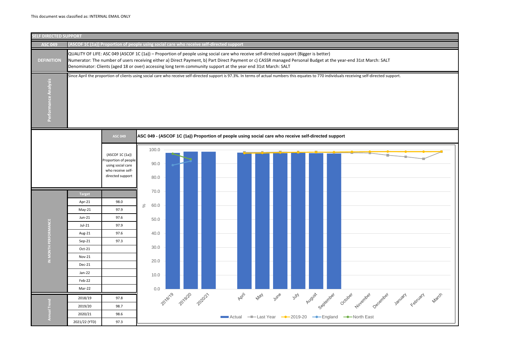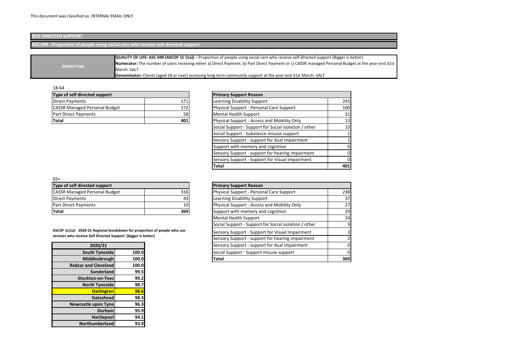### 18-64

| Type of self directed support               |     | <b>Primary Support Reason</b>                         |                 |
|---------------------------------------------|-----|-------------------------------------------------------|-----------------|
| Direct Payments<br>171                      |     | Learning Disability Support                           | 245             |
| <b>CASSR Managed Personal Budget</b><br>172 |     | Physical Support - Personal Care Support              | 100             |
| Part Direct Payments                        | 58  | <b>Mental Health Support</b>                          | 31              |
| Total                                       | 401 | Physical Support - Access and Mobility Only           | 13              |
|                                             |     | Social Support - Support for Social isolation / other | 10 <sup>1</sup> |
|                                             |     | Social Support - Substance misuse support             |                 |
|                                             |     | Sensory Support - support for dual impairment         |                 |
|                                             |     | Support with memory and cognition                     | 01              |
|                                             |     | Sensory Support - support for hearing impairment      | 0I              |
|                                             |     | Sensory Support - Support for Visual Impairment       | 0l              |
|                                             |     | <b>Total</b>                                          | 401             |

| Type of self directed support                                              |       | <b>Primary Support Reason</b>                         |                 |
|----------------------------------------------------------------------------|-------|-------------------------------------------------------|-----------------|
| <b>CASSR Managed Personal Budget</b><br>316                                |       | Physical Support - Personal Care Support              | 238             |
| Direct Payments                                                            | 43    | Learning Disability Support                           | 37 <sup>1</sup> |
| Part Direct Payments                                                       | 10    | Physical Support - Access and Mobility Only           | 27 <sub>l</sub> |
| Total                                                                      | 369   | Support with memory and cognition                     | 29              |
|                                                                            |       | <b>Mental Health Support</b>                          | 24              |
|                                                                            |       | Social Support - Support for Social isolation / other | 9               |
| ASCOF 1c(1a) - 2020-21 Regional breakdown for proportion of people who use |       | Sensory Support - Support for Visual Impairment       | 31              |
| services who receive Self Directed Support (bigger is better)              |       | Sensory Support - support for hearing impairment      |                 |
| 2020/21                                                                    |       | Sensory Support - support for dual impairment         | ΩI              |
| South Tyneside                                                             | 100.0 | Social Support - Support misuse support               | 01              |
| Middlesbrough                                                              | 100.0 | <b>Total</b>                                          | 369             |

| 65+                                  |    |
|--------------------------------------|----|
| Type of self directed support        |    |
| <b>CASSR Managed Personal Budget</b> | 31 |
| Direct Payments                      |    |
| <b>Part Direct Payments</b>          |    |
| <b>Total</b>                         | 36 |

| 2020/21                     |       |
|-----------------------------|-------|
| <b>South Tyneside</b>       | 100.0 |
| Middlesbrough               | 100.0 |
| <b>Redcar and Cleveland</b> | 100.0 |
| <b>Sunderland</b>           | 99.5  |
| <b>Stockton-on-Tees</b>     | 99.2  |
| <b>North Tyneside</b>       | 98.7  |
| <b>Darlington</b>           | 98.6  |
| Gateshead                   | 98.3  |
| <b>Newcastle upon Tyne</b>  | 96.3  |
| <b>Durham</b>               | 95.9  |
| <b>Hartlepool</b>           | 94.1  |
| <b>Northumberland</b>       | 93.9  |

# **SELF DIRECTED SUPPORT**

# **ASC 049 - Proportion of people using social care who receive self-directed support**

| Type of self directed support        | <b>Primary Support Reason</b> |                                  |
|--------------------------------------|-------------------------------|----------------------------------|
| Direct Payments                      | 171                           | Learning Disability Suppo        |
| <b>CASSR Managed Personal Budget</b> | 1721                          | <b>Physical Support - Person</b> |
| <b>Part Direct Payments</b>          | 58                            | Mental Health Support            |
| Total                                | 401                           | <b>Physical Support - Access</b> |

|                   | QUALITY OF LIFE: ASC 049 (ASCOF 1C (1a)) - Proportion of people using social care who receive self-directed support (Bigger is better)             |
|-------------------|----------------------------------------------------------------------------------------------------------------------------------------------------|
|                   | Numerator: The number of users receiving either a) Direct Payment, b) Part Direct Payment or c) CASSR managed Personal Budget at the year-end 31st |
| <b>DEFINITION</b> | March: SALT                                                                                                                                        |
|                   | Denominator: Clients (aged 18 or over) accessing long term community support at the year end 31st March: SALT                                      |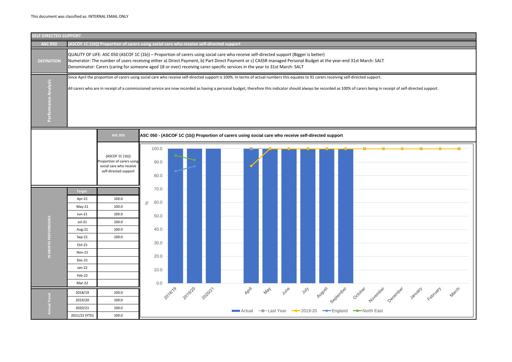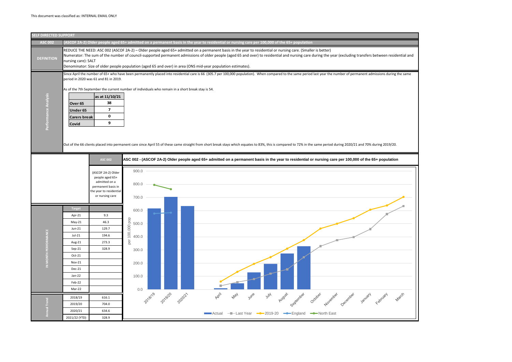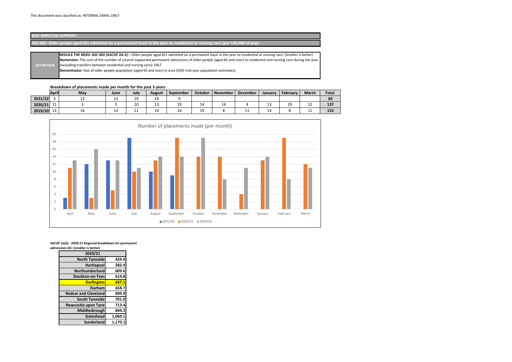# **Breakdown of placements made per month for the past 3 years**

| <b>April</b>            | May | June | July | <b>August</b> | September | October  | November | <b>December</b> | January | February | <b>March</b> | <b>Total</b> |
|-------------------------|-----|------|------|---------------|-----------|----------|----------|-----------------|---------|----------|--------------|--------------|
| 2021/22                 | --- | ᅩ    | 19   | 10            |           |          |          |                 |         |          |              | 66           |
| $\sim$<br>2020/21<br>ᆠ  |     |      | 10   | $\sim$<br>∸∽  | --        | 14       | 14       |                 | IJ      | 19       | <u>. .</u>   | 137          |
| $\sim$<br>2019/20<br>ᅩJ | TQ  | ر_   | . .  | 14            | 14        | 10<br>-- |          | ∸∸              | 14      |          | . .          | 152          |

# **SELF DIRECTED SUPPORT**

**ASC 002- Older people aged 65+ admitted on a permanent basis in the year to residential or nursing care (per 100,000 of pop)**

| 2020/21                     |         |
|-----------------------------|---------|
| <b>North Tyneside</b>       | 424.4   |
| <b>Hartlepool</b>           | 582.4   |
| Northumberland              | 609.6   |
| <b>Stockton-on-Tees</b>     | 619.8   |
| <b>Darlington</b>           | 637.1   |
| Durham                      | 658.7   |
| <b>Redcar and Cleveland</b> | 699.9   |
| <b>South Tyneside</b>       | 701.0   |
| <b>Newcastle upon Tyne</b>  | 713.4   |
| Middlesbrough               | 844.3   |
| Gateshead                   | 1,060.1 |
| <b>Sunderland</b>           | 1,170.1 |

|                   | REDUCE THE NEED: ASC 002 (ASCOF 2A-2) - Older people aged 65+ admitted on a permanent basis in the year to residential or nursing care. (Smaller is better)   |
|-------------------|---------------------------------------------------------------------------------------------------------------------------------------------------------------|
|                   | Numerator: The sum of the number of council-supported permanent admissions of older people (aged 65 and over) to residential and nursing care during the year |
| <b>DEFINITION</b> | (excluding transfers between residential and nursing care): SALT                                                                                              |
|                   | Denominator: Size of older people population (aged 65 and over) in area (ONS mid-year population estimates).                                                  |
|                   |                                                                                                                                                               |



**ASCOF 2a(2) - 2020-21 Regional breakdown for permanent admissions 65+ (smaller is better)**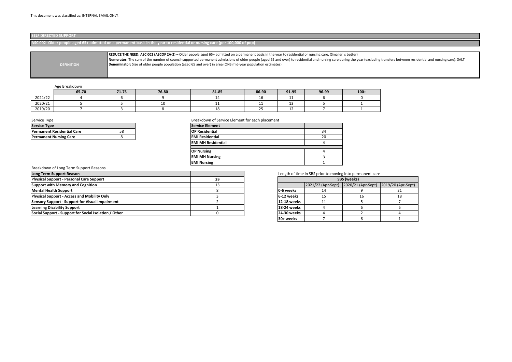### Age Breakdown

|         | 65-70 | 71-75 | 76-80 | 81-85 | 86-90 | 91-95      | 96-99 | $100+$ |
|---------|-------|-------|-------|-------|-------|------------|-------|--------|
| 2021/22 |       |       |       |       |       | . .        |       |        |
| 2020/21 |       |       | ∸∼    | --    | .     | ᅩ          |       |        |
| 2019/20 |       |       |       | ∸     | --    | <u>. .</u> |       |        |

# Breakdown of Long Term Support Reasons

# Length of time in SBS prior to moving into permanent care

| 39 |                    | SBS (weeks)        |                    |                    |  |  |  |  |
|----|--------------------|--------------------|--------------------|--------------------|--|--|--|--|
| 13 |                    | 2021/22 (Apr-Sept) | 2020/21 (Apr-Sept) | 2019/20 (Apr-Sept) |  |  |  |  |
| 8  | 0-6 weeks          | 14                 |                    |                    |  |  |  |  |
|    | 6-12 weeks         | 15                 | 16                 | 18                 |  |  |  |  |
|    | 12-18 weeks        |                    |                    |                    |  |  |  |  |
|    | 18-24 weeks        |                    |                    |                    |  |  |  |  |
| 0  | <b>24-30 weeks</b> |                    |                    |                    |  |  |  |  |
|    | 30+ weeks          |                    |                    |                    |  |  |  |  |

the year (excluding transfers between residential and nursing care): SALT

| <b>Service Type</b>               |    | <b>Service Element</b>    |    |
|-----------------------------------|----|---------------------------|----|
| <b>Permanent Residential Care</b> | 58 | <b>OP Residential</b>     | 34 |
| <b>Permanent Nursing Care</b>     |    | <b>EMI Residential</b>    | 20 |
|                                   |    | <b>EMI MH Residential</b> |    |
|                                   |    |                           |    |
|                                   |    | <b>OP Nursing</b>         |    |
|                                   |    | <b>EMI MH Nursing</b>     |    |
|                                   |    | <b>EMI Nursing</b>        |    |

| Long Term Support Reason                               |    |                    | Length of time in SBS prior to moving into per |                    |
|--------------------------------------------------------|----|--------------------|------------------------------------------------|--------------------|
| <b>Physical Support - Personal Care Support</b>        | 39 |                    |                                                | <b>SBS</b> (weeks) |
| Support with Memory and Cognition                      |    |                    | 2021/22 (Apr-Sept) 2020/21                     |                    |
| Mental Health Support                                  |    | 10-6 weeks         |                                                |                    |
| <b>Physical Support - Access and Mobility Only</b>     |    | 16-12 weeks        |                                                |                    |
| <b>Sensory Support - Support for Visual Impairment</b> |    | 12-18 weeks        |                                                |                    |
| <b>Learning Disability Support</b>                     |    | 18-24 weeks        |                                                |                    |
| Social Support - Support for Social Isolation / Other  |    | <b>24-30 weeks</b> |                                                |                    |
|                                                        |    |                    |                                                |                    |

# **SELF DIRECTED SUPPORT**

**ASC 002- Older people aged 65+ admitted on a permanent basis in the year to residential or nursing care (per 100,000 of pop)**

|                   | <b>REDUCE THE NEED: ASC 002 (ASCOF 2A-2)</b> - Older people aged 65+ admitted on a permanent basis in the year to residential or nursing care. (Smaller is better) |
|-------------------|--------------------------------------------------------------------------------------------------------------------------------------------------------------------|
|                   | Numerator: The sum of the number of council-supported permanent admissions of older people (aged 65 and over) to residential and nursing care during the y         |
| <b>DEFINITION</b> | Denominator: Size of older people population (aged 65 and over) in area (ONS mid-year population estimates).                                                       |
|                   |                                                                                                                                                                    |
|                   |                                                                                                                                                                    |
|                   |                                                                                                                                                                    |

| <b>Service Type</b>                | <b>Service Element</b> |                        |
|------------------------------------|------------------------|------------------------|
| <b>IPermanent Residential Care</b> | 58                     | <b>OP Residential</b>  |
| <b>Permanent Nursing Care</b>      |                        | <b>EMI Residential</b> |

### Service Type **Breakdown of Service Element for each placement**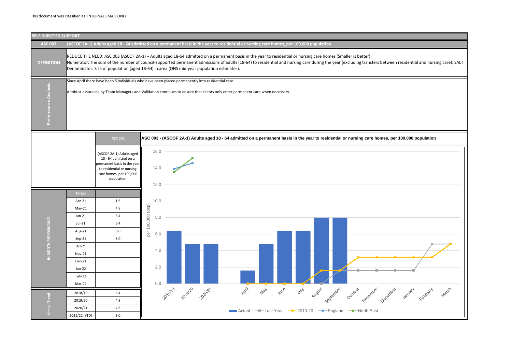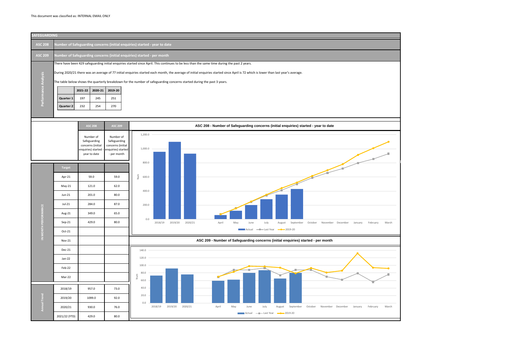

### This document was classified as: INTERNAL EMAIL ONLY.

| <b>SAFEGUARDING</b>  |                        |                                                                            |                       |                       |                                                                                                                                                                                                                                                                                                                                                                                                                                                                |  |  |  |  |  |  |
|----------------------|------------------------|----------------------------------------------------------------------------|-----------------------|-----------------------|----------------------------------------------------------------------------------------------------------------------------------------------------------------------------------------------------------------------------------------------------------------------------------------------------------------------------------------------------------------------------------------------------------------------------------------------------------------|--|--|--|--|--|--|
| <b>ASC 208</b>       |                        | Number of Safeguarding concerns (initial enquiries) started - year to date |                       |                       |                                                                                                                                                                                                                                                                                                                                                                                                                                                                |  |  |  |  |  |  |
| <b>ASC 209</b>       |                        | Number of Safeguarding concerns (initial enquiries) started - per month    |                       |                       |                                                                                                                                                                                                                                                                                                                                                                                                                                                                |  |  |  |  |  |  |
| Performance Analysis | Quarter 1<br>Quarter 2 | 2021-22<br>197<br>232                                                      | 2020-21<br>245<br>254 | 2019-20<br>251<br>270 | There have been 429 safeguarding initial enquiries started since April. This continues to be less than the same time during the past 2 years.<br>During 2020/21 there was an average of 77 initial enquiries started each month, the average of initial enquiries started since April is 72 which is lower than last year's average.<br>The table below shows the quarterly breakdown for the number of safeguarding concerns started during the past 3 years. |  |  |  |  |  |  |
|                      |                        |                                                                            |                       |                       |                                                                                                                                                                                                                                                                                                                                                                                                                                                                |  |  |  |  |  |  |